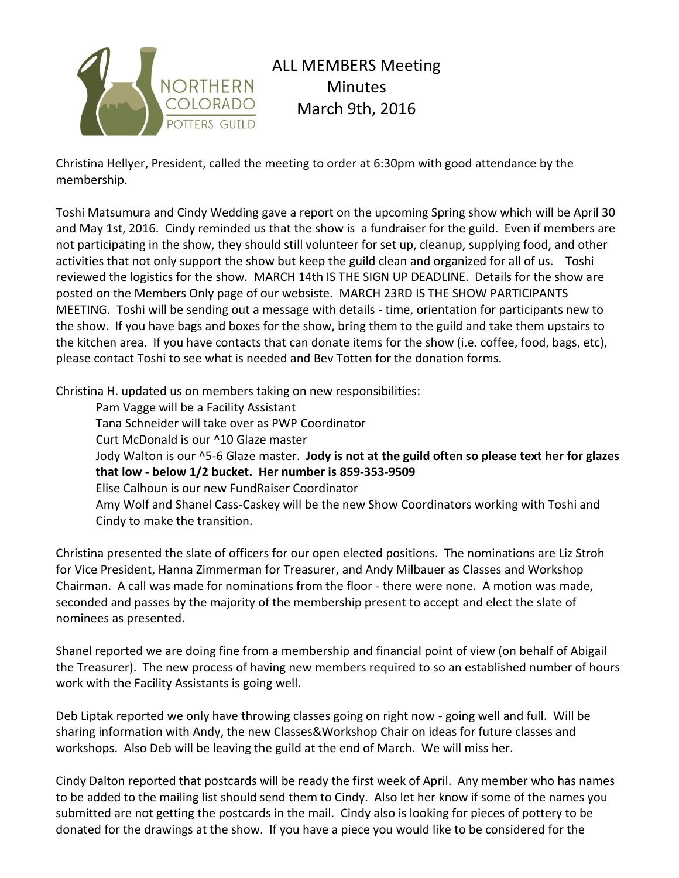

Christina Hellyer, President, called the meeting to order at 6:30pm with good attendance by the membership.

Toshi Matsumura and Cindy Wedding gave a report on the upcoming Spring show which will be April 30 and May 1st, 2016. Cindy reminded us that the show is a fundraiser for the guild. Even if members are not participating in the show, they should still volunteer for set up, cleanup, supplying food, and other activities that not only support the show but keep the guild clean and organized for all of us. Toshi reviewed the logistics for the show. MARCH 14th IS THE SIGN UP DEADLINE. Details for the show are posted on the Members Only page of our websiste. MARCH 23RD IS THE SHOW PARTICIPANTS MEETING. Toshi will be sending out a message with details - time, orientation for participants new to the show. If you have bags and boxes for the show, bring them to the guild and take them upstairs to the kitchen area. If you have contacts that can donate items for the show (i.e. coffee, food, bags, etc), please contact Toshi to see what is needed and Bev Totten for the donation forms.

Christina H. updated us on members taking on new responsibilities:

Pam Vagge will be a Facility Assistant Tana Schneider will take over as PWP Coordinator Curt McDonald is our ^10 Glaze master Jody Walton is our ^5-6 Glaze master. **Jody is not at the guild often so please text her for glazes that low - below 1/2 bucket. Her number is 859-353-9509** Elise Calhoun is our new FundRaiser Coordinator Amy Wolf and Shanel Cass-Caskey will be the new Show Coordinators working with Toshi and Cindy to make the transition.

Christina presented the slate of officers for our open elected positions. The nominations are Liz Stroh for Vice President, Hanna Zimmerman for Treasurer, and Andy Milbauer as Classes and Workshop Chairman. A call was made for nominations from the floor - there were none. A motion was made, seconded and passes by the majority of the membership present to accept and elect the slate of nominees as presented.

Shanel reported we are doing fine from a membership and financial point of view (on behalf of Abigail the Treasurer). The new process of having new members required to so an established number of hours work with the Facility Assistants is going well.

Deb Liptak reported we only have throwing classes going on right now - going well and full. Will be sharing information with Andy, the new Classes&Workshop Chair on ideas for future classes and workshops. Also Deb will be leaving the guild at the end of March. We will miss her.

Cindy Dalton reported that postcards will be ready the first week of April. Any member who has names to be added to the mailing list should send them to Cindy. Also let her know if some of the names you submitted are not getting the postcards in the mail. Cindy also is looking for pieces of pottery to be donated for the drawings at the show. If you have a piece you would like to be considered for the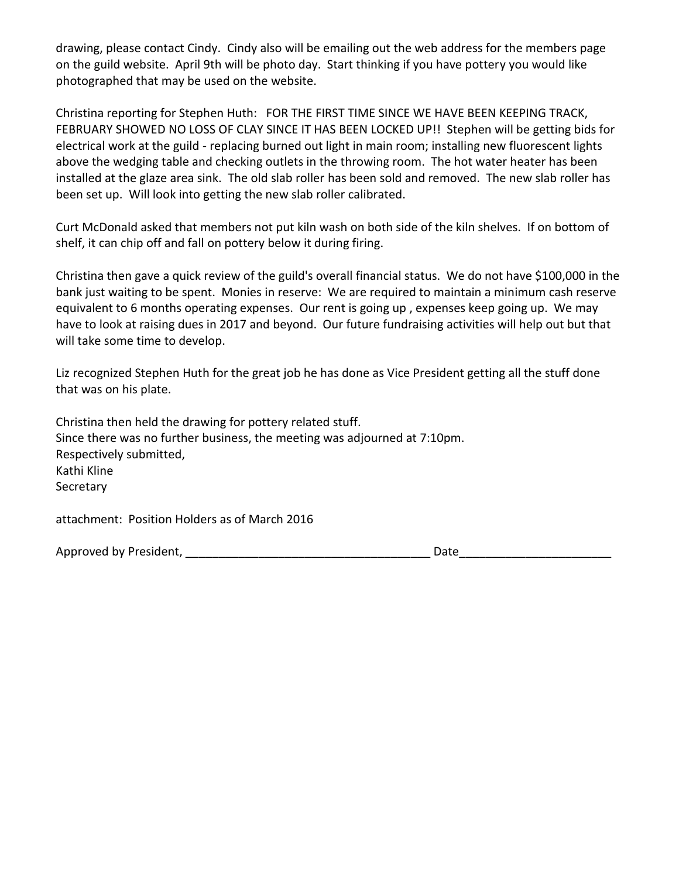drawing, please contact Cindy. Cindy also will be emailing out the web address for the members page on the guild website. April 9th will be photo day. Start thinking if you have pottery you would like photographed that may be used on the website.

Christina reporting for Stephen Huth: FOR THE FIRST TIME SINCE WE HAVE BEEN KEEPING TRACK, FEBRUARY SHOWED NO LOSS OF CLAY SINCE IT HAS BEEN LOCKED UP!! Stephen will be getting bids for electrical work at the guild - replacing burned out light in main room; installing new fluorescent lights above the wedging table and checking outlets in the throwing room. The hot water heater has been installed at the glaze area sink. The old slab roller has been sold and removed. The new slab roller has been set up. Will look into getting the new slab roller calibrated.

Curt McDonald asked that members not put kiln wash on both side of the kiln shelves. If on bottom of shelf, it can chip off and fall on pottery below it during firing.

Christina then gave a quick review of the guild's overall financial status. We do not have \$100,000 in the bank just waiting to be spent. Monies in reserve: We are required to maintain a minimum cash reserve equivalent to 6 months operating expenses. Our rent is going up , expenses keep going up. We may have to look at raising dues in 2017 and beyond. Our future fundraising activities will help out but that will take some time to develop.

Liz recognized Stephen Huth for the great job he has done as Vice President getting all the stuff done that was on his plate.

Christina then held the drawing for pottery related stuff. Since there was no further business, the meeting was adjourned at 7:10pm. Respectively submitted, Kathi Kline **Secretary** 

attachment: Position Holders as of March 2016

Approved by President, \_\_\_\_\_\_\_\_\_\_\_\_\_\_\_\_\_\_\_\_\_\_\_\_\_\_\_\_\_\_\_\_\_\_\_\_\_ Date\_\_\_\_\_\_\_\_\_\_\_\_\_\_\_\_\_\_\_\_\_\_\_